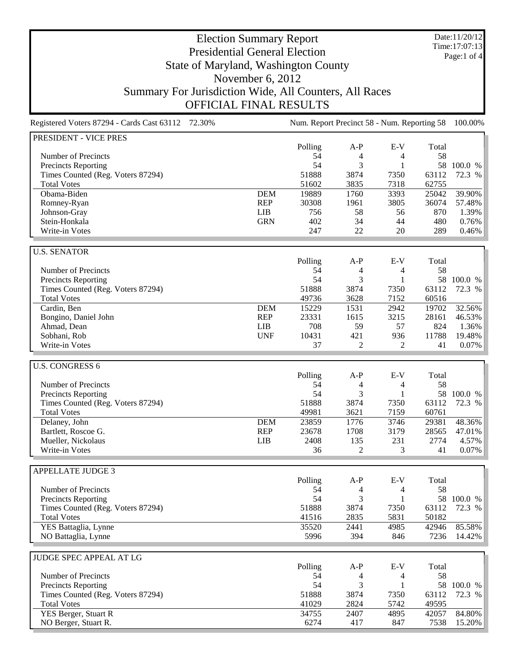Date:11/20/12 Time:17:07:13 Page:1 of 4

## Election Summary Report Presidential General Election State of Maryland, Washington County November 6, 2012 Summary For Jurisdiction Wide, All Counters, All Races OFFICIAL FINAL RESULTS

Registered Voters 87294 - Cards Cast 63112 72.30% Num. Report Precinct 58 - Num. Reporting 58 100.00% PRESIDENT - VICE PRES Polling A-P E-V Total Number of Precincts 58 and the set of the set of the set of the set of the set of the set of the set of the set of the set of the set of the set of the set of the set of the set of the set of the set of the set of the set Precincts Reporting 54 3 1 58 100.0 % Times Counted (Reg. Voters 87294) 51888 3874 7350 63112 72.3 % Total Votes 51602 3835 7318 62755 Obama-Biden DEM 19889 1760 3393 25042 39.90% Romney-Ryan REP 30308 1961 3805 36074 57.48% Johnson-Gray LIB 756 58 56 870 1.39% Stein-Honkala GRN 402 34 44 480 0.76% Write-in Votes 247 22 20 289 0.46% U.S. SENATOR Polling A-P E-V Total Number of Precincts<br>
Precincts Reporting<br>
Sa 3 1 58 100.0 % Precincts Reporting 54 3 1 58 100.0 % Times Counted (Reg. Voters 87294) 51888 3874 7350 63112 72.3 % Total Votes 49736 3628 7152 60516 Cardin, Ben DEM 15229 1531 2942 19702 32.56% Bongino, Daniel John 23331 23331 25 28161 46.53% Ahmad, Dean 2012 1.36% and 2.000 LIB 708 59 57 824 1.36% Sobhani, Rob UNF 10431 421 936 11788 19.48% Write-in Votes 2 2 41 0.07% U.S. CONGRESS 6 Polling A-P E-V Total Number of Precincts<br>
Precincts Reporting<br>
Sa 3 1 58 100.0 % Precincts Reporting 54 3 1 Times Counted (Reg. Voters 87294) 51888 3874 7350 63112 72.3 %<br>
Total Votes 60761 51888 49981 3621 7159 60761 Total Votes 49981 3621 7159 60761 Delaney, John DEM 23859 1776 3746 29381 48.36% Bartlett, Roscoe G. REP 23678 1708 3179 28565 47.01% Mueller, Nickolaus LIB 2408 135 231 2774 4.57% Write-in Votes 2 3 41 0.07% APPELLATE JUDGE 3 Polling A-P E-V Total Number of Precincts 58 54 4 58 Precincts Reporting 1990 100.0 % 1 54 3 1 58 100.0 % Times Counted (Reg. Voters 87294) 51888 3874 7350 63112 72.3 % Total Votes 41516 2835 5831 50182 YES Battaglia, Lynne 35520 2441 4985 42946 85.58% NO Battaglia, Lynne 5996 394 846 7236 14.42% JUDGE SPEC APPEAL AT LG Polling A-P E-V Total Number of Precincts<br>
Precincts Reporting<br>
Sa 3 1 58 100.0 % Precincts Reporting 54 3 1 Times Counted (Reg. Voters 87294) 51888 3874 7350 63112 72.3 %<br>
Total Votes 37294) 51888 3874 7350 63112 72.3 % Total Votes 41029 2824 5742 49595

YES Berger, Stuart R 34755 2407 4895 42057 84.80% NO Berger, Stuart R. 6274 417 847 7538 15.20%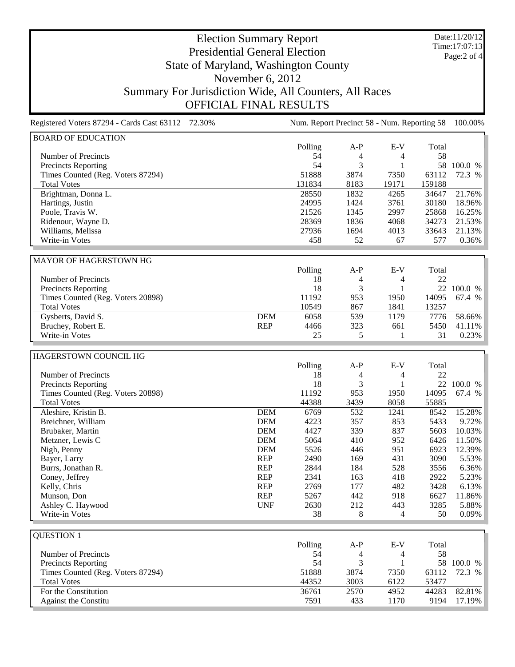Date:11/20/12 Time:17:07:13 Page:2 of 4

## Election Summary Report Presidential General Election State of Maryland, Washington County November 6, 2012 Summary For Jurisdiction Wide, All Counters, All Races OFFICIAL FINAL RESULTS

Registered Voters 87294 - Cards Cast 63112 72.30% Num. Report Precinct 58 - Num. Reporting 58 100.00% BOARD OF EDUCATION Polling A-P E-V Total Number of Precincts 58 and the set of the set of the set of the set of the set of the set of the set of the set of the set of the set of the set of the set of the set of the set of the set of the set of the set of the set Precincts Reporting 54 3 1 58 100.0 %<br>Times Counted (Reg. Voters 87294) 51888 3874 7350 63112 72.3 % Times Counted (Reg. Voters 87294) 51888 3874 7350 63112 Total Votes 131834 8183 19171 159188 Brightman, Donna L.<br>
Hartings, Justin 2018 0 1832 4265 34647 21.76%<br>
24995 1424 3761 30180 18.96% Hartings, Justin Poole, Travis W. 21526 1345 2997 25868 16.25%<br>
Ridenour, Wayne D. 28369 28369 1836 4068 34273 21.53% Ridenour, Wayne D. 28369 1836 4068 34273 Williams, Melissa 21.13% 27936 1694 4013 33643 21.13% Write-in Votes 458 52 67 577 0.36% MAYOR OF HAGERSTOWN HG Polling A-P E-V Total Number of Precincts<br>
Precincts Reporting<br>
18 4 4 22<br>
18 3 1 22 100.0 % Precincts Reporting 18 3 1<br>
Times Counted (Reg. Voters 20898) 11192 953 1950 Times Counted (Reg. Voters 20898) 11192 953 1950 14095 67.4 % Total Votes 10549 867 1841 13257 Gysberts, David S.<br>
Bruchev, Robert E.<br>
Bruchev, Robert E.<br>
23 661 5450 41.11% Bruchey, Robert E. **REP** 4466 323 661 5450 41.11% Write-in Votes 25 5 1 31 0.23% HAGERSTOWN COUNCIL HG Polling A-P E-V Total<br>18 4 4 22 Number of Precincts 18 4 4 22 Precincts Reporting 18 3 1 22 100.0 %<br>
Times Counted (Reg. Voters 20898) 11192 953 1950 14095 67.4 % Times Counted (Reg. Voters 20898) 11192 953 1950 14095 67.4 %<br>
Total Votes 3685 1950 14095 67.4 % Total Votes 44388 3439 8058 55885 Aleshire, Kristin B. DEM 6769 532 1241 8542 15.28% Breichner, William **DEM** 4223 357 853 5433 9.72% Brubaker, Martin DEM 4427 339 837 5603 10.03% Metzner, Lewis C<br>
Metzner, Lewis C<br>
Nigh, Penny C<br>
DEM 5526 446 951 6923 12.39% Nigh, Penny 12.39% **DEM** 5526 446 951 6923 12.39% Bayer, Larry **REP** 2490 169 431 3090 5.53% Burrs, Jonathan R.<br>
Coney, Jeffrey 2844 REP 2341 163 418 2922 5.23% Coney, Jeffrey REP 2341 163 418 Kelly, Chris REP 2769 177 482 3428 6.13% Munson, Don REP 5267 442 918 6627 11.86% Ashley C. Haywood UNF 2630 212 443 3285 5.88% Write-in Votes 38 8 4 50 0.09% QUESTION 1 Polling A-P E-V Total Number of Precincts 58 54 4 58 Precincts Reporting 54 3 1 58 100.0 % Times Counted (Reg. Voters 87294) 51888 3874 7350 63112 72.3 % Total Votes 44352 3003 6122 53477 For the Constitution 6.8 and 2570 36761 2570 4952 44283 82.81% Against the Constitu **7591** 433 1170 9194 17.19%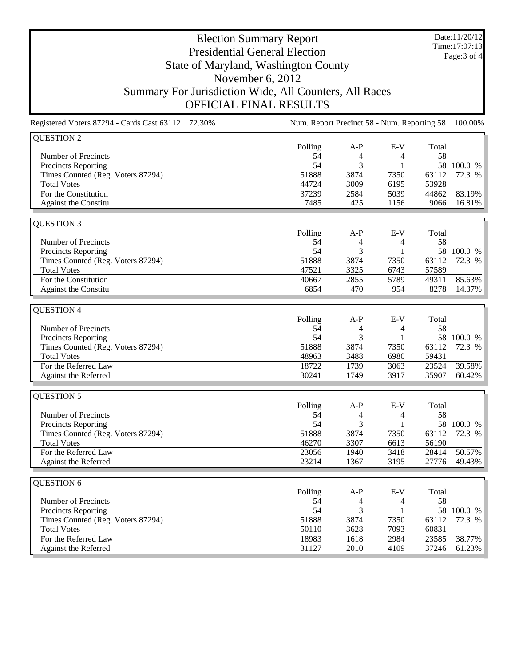Date:11/20/12 Time:17:07:13 Page:3 of 4

## Election Summary Report Presidential General Election State of Maryland, Washington County November 6, 2012 Summary For Jurisdiction Wide, All Counters, All Races OFFICIAL FINAL RESULTS

| Registered Voters 87294 - Cards Cast 63112 72.30% | Num. Report Precinct 58 - Num. Reporting 58 100.00% |       |              |       |            |
|---------------------------------------------------|-----------------------------------------------------|-------|--------------|-------|------------|
| <b>QUESTION 2</b>                                 |                                                     |       |              |       |            |
|                                                   | Polling                                             | $A-P$ | $E-V$        | Total |            |
| Number of Precincts                               | 54                                                  | 4     | 4            | 58    |            |
| Precincts Reporting                               | 54                                                  | 3     | 1            |       | 58 100.0 % |
| Times Counted (Reg. Voters 87294)                 | 51888                                               | 3874  | 7350         | 63112 | 72.3 %     |
| <b>Total Votes</b>                                | 44724                                               | 3009  | 6195         | 53928 |            |
| For the Constitution                              | 37239                                               | 2584  | 5039         | 44862 | 83.19%     |
| Against the Constitu                              | 7485                                                | 425   | 1156         | 9066  | 16.81%     |
| <b>QUESTION 3</b>                                 |                                                     |       |              |       |            |
|                                                   | Polling                                             | $A-P$ | $E-V$        | Total |            |
| Number of Precincts                               | 54                                                  | 4     | 4            | 58    |            |
| <b>Precincts Reporting</b>                        | 54                                                  | 3     | $\mathbf{1}$ |       | 58 100.0 % |
| Times Counted (Reg. Voters 87294)                 | 51888                                               | 3874  | 7350         | 63112 | 72.3 %     |
| <b>Total Votes</b>                                | 47521                                               | 3325  | 6743         | 57589 |            |
| For the Constitution                              | 40667                                               | 2855  | 5789         | 49311 | 85.63%     |
| Against the Constitu                              | 6854                                                | 470   | 954          | 8278  | 14.37%     |
|                                                   |                                                     |       |              |       |            |
| <b>QUESTION 4</b>                                 | Polling                                             | $A-P$ | $E-V$        | Total |            |
| Number of Precincts                               | 54                                                  | 4     | 4            | 58    |            |
| <b>Precincts Reporting</b>                        | 54                                                  | 3     | $\mathbf{1}$ |       | 58 100.0 % |
| Times Counted (Reg. Voters 87294)                 | 51888                                               | 3874  | 7350         | 63112 | 72.3 %     |
| <b>Total Votes</b>                                | 48963                                               | 3488  | 6980         | 59431 |            |
| For the Referred Law                              | 18722                                               | 1739  | 3063         | 23524 | 39.58%     |
| Against the Referred                              | 30241                                               | 1749  | 3917         | 35907 | 60.42%     |
|                                                   |                                                     |       |              |       |            |
| <b>QUESTION 5</b>                                 |                                                     |       |              |       |            |
|                                                   | Polling                                             | $A-P$ | $E-V$        | Total |            |
| Number of Precincts                               | 54                                                  | 4     | 4            | 58    |            |
| Precincts Reporting                               | 54                                                  | 3     | $\mathbf{1}$ |       | 58 100.0 % |
| Times Counted (Reg. Voters 87294)                 | 51888                                               | 3874  | 7350         | 63112 | 72.3 %     |
| <b>Total Votes</b>                                | 46270                                               | 3307  | 6613         | 56190 |            |
| For the Referred Law                              | 23056                                               | 1940  | 3418         | 28414 | 50.57%     |
| Against the Referred                              | 23214                                               | 1367  | 3195         | 27776 | 49.43%     |
| QUESTION 6                                        |                                                     |       |              |       |            |
|                                                   | Polling                                             | $A-P$ | $E-V$        | Total |            |
| Number of Precincts                               | 54                                                  | 4     | 4            | 58    |            |
| Precincts Reporting                               | 54                                                  | 3     | 1            |       | 58 100.0 % |
| Times Counted (Reg. Voters 87294)                 | 51888                                               | 3874  | 7350         | 63112 | 72.3 %     |
| <b>Total Votes</b>                                | 50110                                               | 3628  | 7093         | 60831 |            |
| For the Referred Law                              | 18983                                               | 1618  | 2984         | 23585 | 38.77%     |
| Against the Referred                              | 31127                                               | 2010  | 4109         | 37246 | 61.23%     |